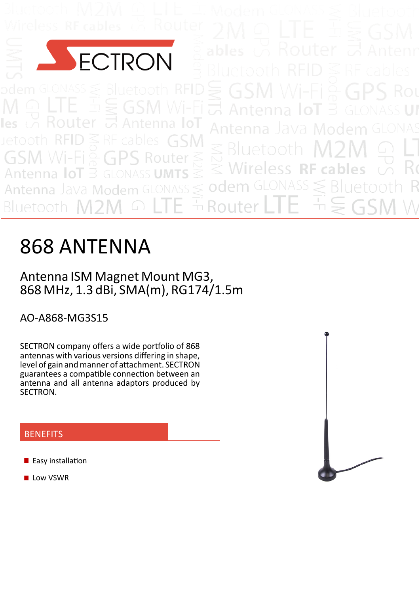

Router uetoot

# 868 ANTENNA

## Antenna ISM Magnet Mount MG3, 868 MHz, 1.3 dBi, SMA(m), RG174/1.5m

AO‐A868‐MG3S15

SECTRON company offers a wide portfolio of 868 antennas with various versions differing in shape, level of gain and manner of attachment. SECTRON guarantees a compatible connection between an antenna and all antenna adaptors produced by SECTRON.

## **BENEFITS**

- **Easy installation**
- **Low VSWR**

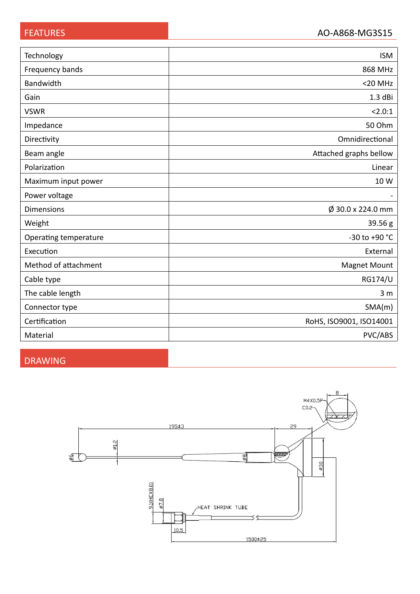| Technology            | <b>ISM</b>              |  |  |
|-----------------------|-------------------------|--|--|
| Frequency bands       | 868 MHz                 |  |  |
| Bandwidth             | $<$ 20 MHz              |  |  |
| Gain                  | $1.3$ dBi               |  |  |
| <b>VSWR</b>           | < 2.0:1                 |  |  |
| Impedance             | 50 Ohm                  |  |  |
| Directivity           | Omnidirectional         |  |  |
| Beam angle            | Attached graphs bellow  |  |  |
| Polarization          | Linear                  |  |  |
| Maximum input power   | 10 W                    |  |  |
| Power voltage         |                         |  |  |
| <b>Dimensions</b>     | $\phi$ 30.0 x 224.0 mm  |  |  |
| Weight                | 39.56 g                 |  |  |
| Operating temperature | -30 to +90 °C           |  |  |
| Execution             | External                |  |  |
| Method of attachment  | <b>Magnet Mount</b>     |  |  |
| Cable type            | <b>RG174/U</b>          |  |  |
| The cable length      | 3 <sub>m</sub>          |  |  |
| Connector type        | SMA(m)                  |  |  |
| Certification         | RoHS, ISO9001, ISO14001 |  |  |
| Material              | PVC/ABS                 |  |  |

## DRAWING

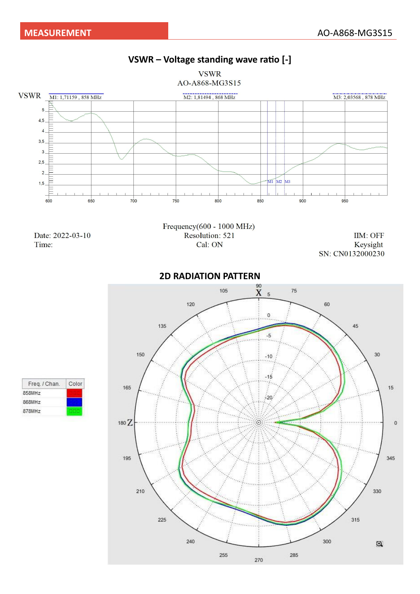



Freq. / Chan. Color 858MHz 868MHz 878MHz